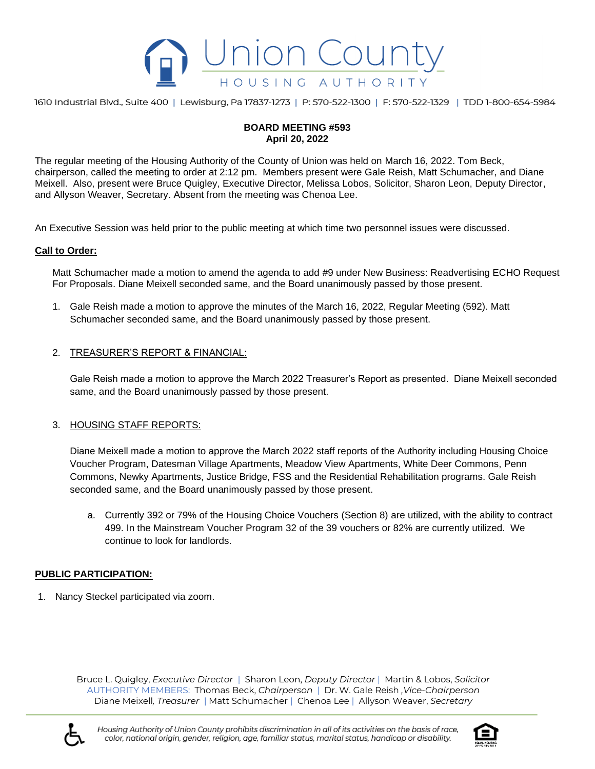

1610 Industrial Blvd., Suite 400 | Lewisburg, Pa 17837-1273 | P: 570-522-1300 | F: 570-522-1329 | TDD 1-800-654-5984

# **BOARD MEETING #593 April 20, 2022**

The regular meeting of the Housing Authority of the County of Union was held on March 16, 2022. Tom Beck, chairperson, called the meeting to order at 2:12 pm. Members present were Gale Reish, Matt Schumacher, and Diane Meixell. Also, present were Bruce Quigley, Executive Director, Melissa Lobos, Solicitor, Sharon Leon, Deputy Director, and Allyson Weaver, Secretary. Absent from the meeting was Chenoa Lee.

An Executive Session was held prior to the public meeting at which time two personnel issues were discussed.

## **Call to Order:**

Matt Schumacher made a motion to amend the agenda to add #9 under New Business: Readvertising ECHO Request For Proposals. Diane Meixell seconded same, and the Board unanimously passed by those present.

1. Gale Reish made a motion to approve the minutes of the March 16, 2022, Regular Meeting (592). Matt Schumacher seconded same, and the Board unanimously passed by those present.

## 2. TREASURER'S REPORT & FINANCIAL:

Gale Reish made a motion to approve the March 2022 Treasurer's Report as presented. Diane Meixell seconded same, and the Board unanimously passed by those present.

#### 3. HOUSING STAFF REPORTS:

Diane Meixell made a motion to approve the March 2022 staff reports of the Authority including Housing Choice Voucher Program, Datesman Village Apartments, Meadow View Apartments, White Deer Commons, Penn Commons, Newky Apartments, Justice Bridge, FSS and the Residential Rehabilitation programs. Gale Reish seconded same, and the Board unanimously passed by those present.

a. Currently 392 or 79% of the Housing Choice Vouchers (Section 8) are utilized, with the ability to contract 499. In the Mainstream Voucher Program 32 of the 39 vouchers or 82% are currently utilized. We continue to look for landlords.

#### **PUBLIC PARTICIPATION:**

1. Nancy Steckel participated via zoom.

Bruce L. Quigley, *Executive Director* | Sharon Leon, *Deputy Director* | Martin & Lobos, *Solicitor* AUTHORITY MEMBERS: Thomas Beck, *Chairperson* | Dr. W. Gale Reish *,Vice-Chairperson* Diane Meixell*, Treasurer* | Matt Schumacher | Chenoa Lee | Allyson Weaver, *Secretary* 



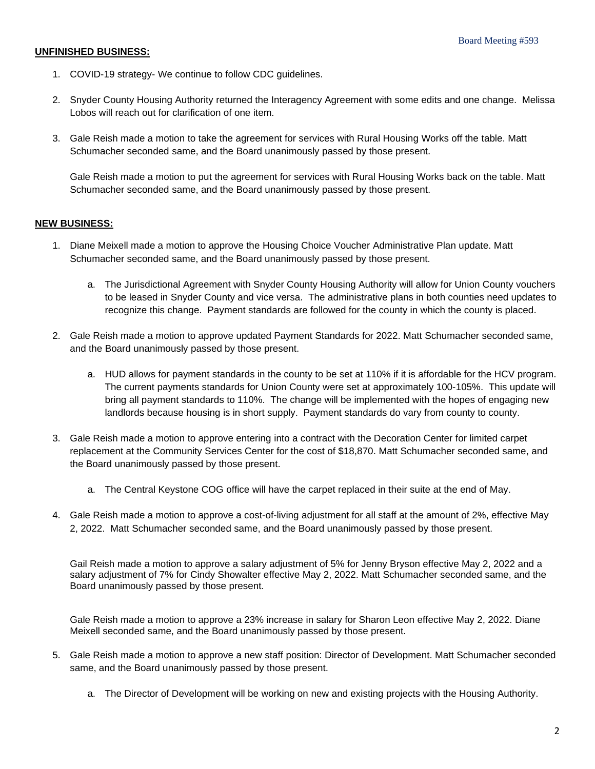## **UNFINISHED BUSINESS:**

- 1. COVID-19 strategy- We continue to follow CDC guidelines.
- 2. Snyder County Housing Authority returned the Interagency Agreement with some edits and one change. Melissa Lobos will reach out for clarification of one item.
- 3. Gale Reish made a motion to take the agreement for services with Rural Housing Works off the table. Matt Schumacher seconded same, and the Board unanimously passed by those present.

Gale Reish made a motion to put the agreement for services with Rural Housing Works back on the table. Matt Schumacher seconded same, and the Board unanimously passed by those present.

## **NEW BUSINESS:**

- 1. Diane Meixell made a motion to approve the Housing Choice Voucher Administrative Plan update. Matt Schumacher seconded same, and the Board unanimously passed by those present.
	- a. The Jurisdictional Agreement with Snyder County Housing Authority will allow for Union County vouchers to be leased in Snyder County and vice versa. The administrative plans in both counties need updates to recognize this change. Payment standards are followed for the county in which the county is placed.
- 2. Gale Reish made a motion to approve updated Payment Standards for 2022. Matt Schumacher seconded same, and the Board unanimously passed by those present.
	- a. HUD allows for payment standards in the county to be set at 110% if it is affordable for the HCV program. The current payments standards for Union County were set at approximately 100-105%. This update will bring all payment standards to 110%. The change will be implemented with the hopes of engaging new landlords because housing is in short supply. Payment standards do vary from county to county.
- 3. Gale Reish made a motion to approve entering into a contract with the Decoration Center for limited carpet replacement at the Community Services Center for the cost of \$18,870. Matt Schumacher seconded same, and the Board unanimously passed by those present.
	- a. The Central Keystone COG office will have the carpet replaced in their suite at the end of May.
- 4. Gale Reish made a motion to approve a cost-of-living adjustment for all staff at the amount of 2%, effective May 2, 2022. Matt Schumacher seconded same, and the Board unanimously passed by those present.

Gail Reish made a motion to approve a salary adjustment of 5% for Jenny Bryson effective May 2, 2022 and a salary adjustment of 7% for Cindy Showalter effective May 2, 2022. Matt Schumacher seconded same, and the Board unanimously passed by those present.

Gale Reish made a motion to approve a 23% increase in salary for Sharon Leon effective May 2, 2022. Diane Meixell seconded same, and the Board unanimously passed by those present.

- 5. Gale Reish made a motion to approve a new staff position: Director of Development. Matt Schumacher seconded same, and the Board unanimously passed by those present.
	- a. The Director of Development will be working on new and existing projects with the Housing Authority.